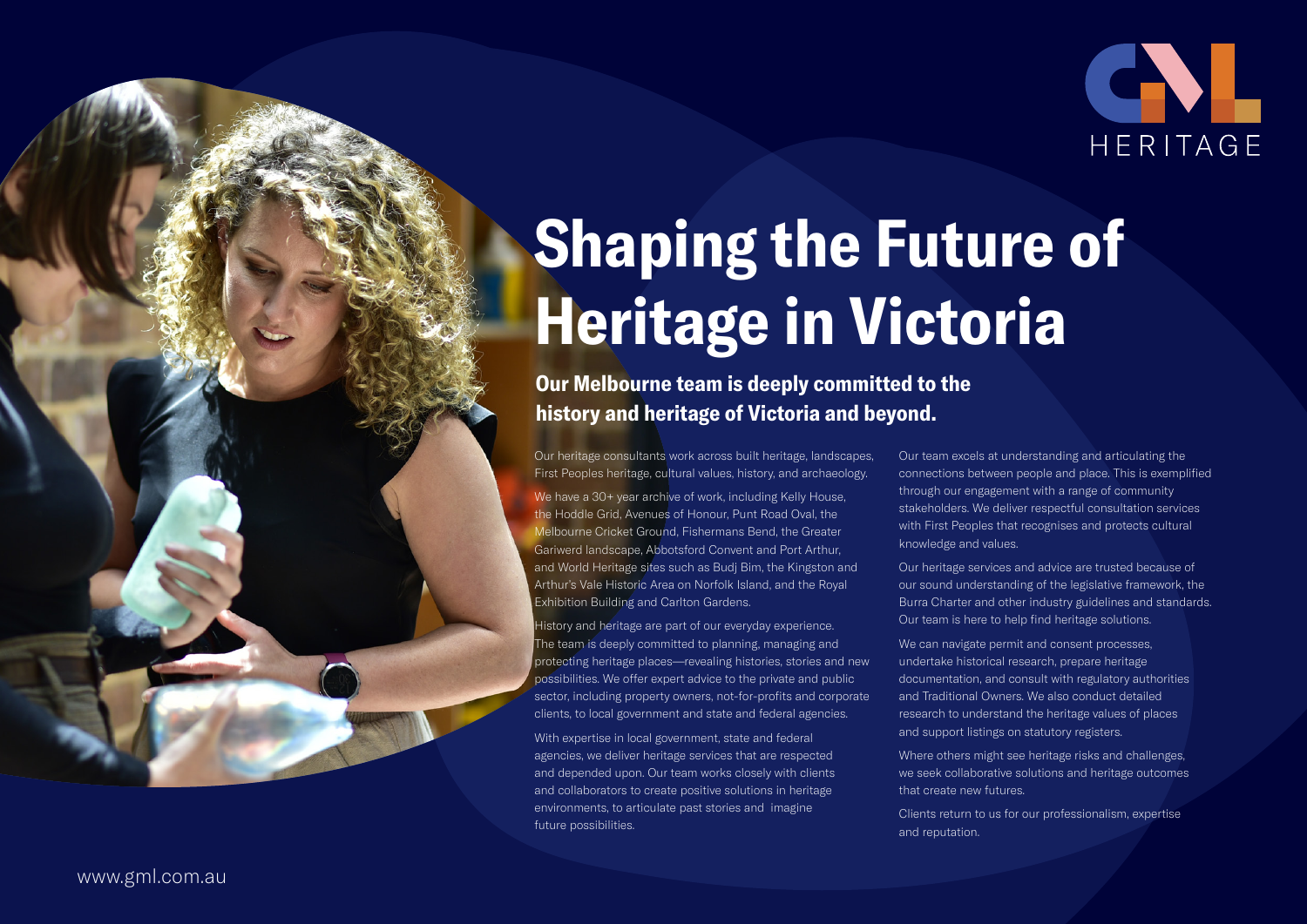

# Shaping the Future of Heritage in Victoria

Our Melbourne team is deeply committed to the history and heritage of Victoria and beyond.

Our heritage consultants work across built heritage, landscapes, First Peoples heritage, cultural values, history, and archaeology.

We have a 30+ year archive of work, including Kelly House, the Hoddle Grid, Avenues of Honour, Punt Road Oval, the Melbourne Cricket Ground, Fishermans Bend, the Greater Gariwerd landscape, Abbotsford Convent and Port Arthur, and World Heritage sites such as Budj Bim, the Kingston and Arthur's Vale Historic Area on Norfolk Island, and the Royal Exhibition Building and Carlton Gardens.

History and heritage are part of our everyday experience. The team is deeply committed to planning, managing and protecting heritage places—revealing histories, stories and new possibilities. We offer expert advice to the private and public sector, including property owners, not-for-profits and corporate clients, to local government and state and federal agencies.

With expertise in local government, state and federal agencies, we deliver heritage services that are respected and depended upon. Our team works closely with clients and collaborators to create positive solutions in heritage environments, to articulate past stories and imagine future possibilities.

Our team excels at understanding and articulating the connections between people and place. This is exemplified through our engagement with a range of community stakeholders. We deliver respectful consultation services with First Peoples that recognises and protects cultural knowledge and values.

Our heritage services and advice are trusted because of our sound understanding of the legislative framework, the Burra Charter and other industry guidelines and standards. Our team is here to help find heritage solutions.

We can navigate permit and consent processes, undertake historical research, prepare heritage documentation, and consult with regulatory authorities and Traditional Owners. We also conduct detailed research to understand the heritage values of places and support listings on statutory registers.

Where others might see heritage risks and challenges, we seek collaborative solutions and heritage outcomes that create new futures.

Clients return to us for our professionalism, expertise

and reputation.